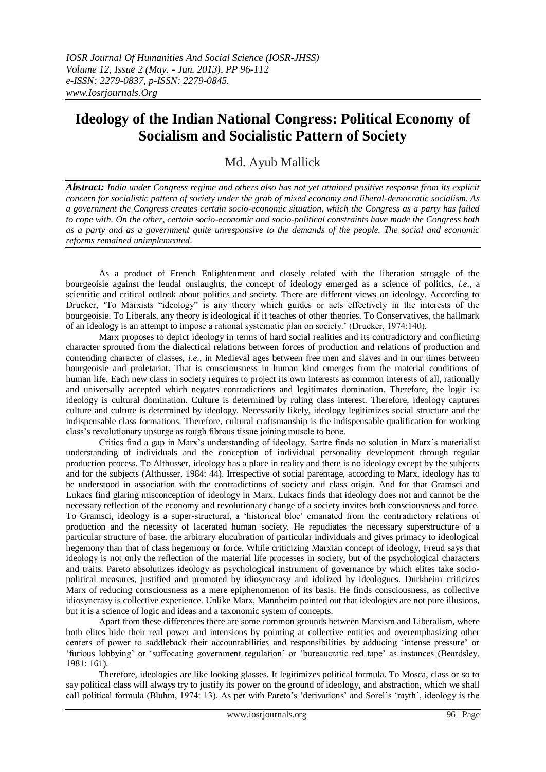## **Ideology of the Indian National Congress: Political Economy of Socialism and Socialistic Pattern of Society**

## Md. Ayub Mallick

*Abstract: India under Congress regime and others also has not yet attained positive response from its explicit concern for socialistic pattern of society under the grab of mixed economy and liberal-democratic socialism. As a government the Congress creates certain socio-economic situation, which the Congress as a party has failed to cope with. On the other, certain socio-economic and socio-political constraints have made the Congress both as a party and as a government quite unresponsive to the demands of the people. The social and economic reforms remained unimplemented*.

As a product of French Enlightenment and closely related with the liberation struggle of the bourgeoisie against the feudal onslaughts, the concept of ideology emerged as a science of politics, *i.e.*, a scientific and critical outlook about politics and society. There are different views on ideology. According to Drucker, "To Marxists "ideology" is any theory which guides or acts effectively in the interests of the bourgeoisie. To Liberals, any theory is ideological if it teaches of other theories. To Conservatives, the hallmark of an ideology is an attempt to impose a rational systematic plan on society." (Drucker, 1974:140).

Marx proposes to depict ideology in terms of hard social realities and its contradictory and conflicting character sprouted from the dialectical relations between forces of production and relations of production and contending character of classes, *i.e.*, in Medieval ages between free men and slaves and in our times between bourgeoisie and proletariat. That is consciousness in human kind emerges from the material conditions of human life. Each new class in society requires to project its own interests as common interests of all, rationally and universally accepted which negates contradictions and legitimates domination. Therefore, the logic is: ideology is cultural domination. Culture is determined by ruling class interest. Therefore, ideology captures culture and culture is determined by ideology. Necessarily likely, ideology legitimizes social structure and the indispensable class formations. Therefore, cultural craftsmanship is the indispensable qualification for working class"s revolutionary upsurge as tough fibrous tissue joining muscle to bone.

Critics find a gap in Marx"s understanding of ideology. Sartre finds no solution in Marx"s materialist understanding of individuals and the conception of individual personality development through regular production process. To Althusser, ideology has a place in reality and there is no ideology except by the subjects and for the subjects (Althusser, 1984: 44). Irrespective of social parentage, according to Marx, ideology has to be understood in association with the contradictions of society and class origin. And for that Gramsci and Lukacs find glaring misconception of ideology in Marx. Lukacs finds that ideology does not and cannot be the necessary reflection of the economy and revolutionary change of a society invites both consciousness and force. To Gramsci, ideology is a super-structural, a "historical bloc" emanated from the contradictory relations of production and the necessity of lacerated human society. He repudiates the necessary superstructure of a particular structure of base, the arbitrary elucubration of particular individuals and gives primacy to ideological hegemony than that of class hegemony or force. While criticizing Marxian concept of ideology, Freud says that ideology is not only the reflection of the material life processes in society, but of the psychological characters and traits. Pareto absolutizes ideology as psychological instrument of governance by which elites take sociopolitical measures, justified and promoted by idiosyncrasy and idolized by ideologues. Durkheim criticizes Marx of reducing consciousness as a mere epiphenomenon of its basis. He finds consciousness, as collective idiosyncrasy is collective experience. Unlike Marx, Mannheim pointed out that ideologies are not pure illusions, but it is a science of logic and ideas and a taxonomic system of concepts.

Apart from these differences there are some common grounds between Marxism and Liberalism, where both elites hide their real power and intensions by pointing at collective entities and overemphasizing other centers of power to saddleback their accountabilities and responsibilities by adducing "intense pressure" or "furious lobbying" or "suffocating government regulation" or "bureaucratic red tape" as instances (Beardsley, 1981: 161).

Therefore, ideologies are like looking glasses. It legitimizes political formula. To Mosca, class or so to say political class will always try to justify its power on the ground of ideology, and abstraction, which we shall call political formula (Bluhm, 1974: 13). As per with Pareto's 'derivations' and Sorel's 'myth', ideology is the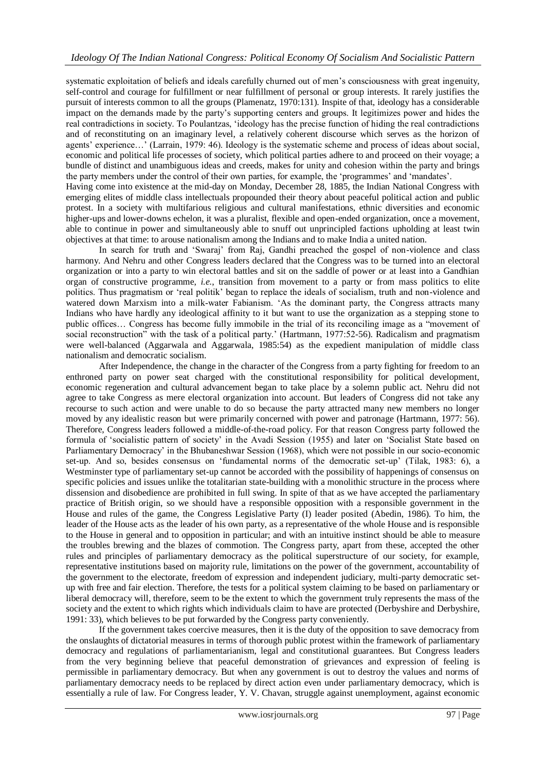systematic exploitation of beliefs and ideals carefully churned out of men"s consciousness with great ingenuity, self-control and courage for fulfillment or near fulfillment of personal or group interests. It rarely justifies the pursuit of interests common to all the groups (Plamenatz, 1970:131). Inspite of that, ideology has a considerable impact on the demands made by the party"s supporting centers and groups. It legitimizes power and hides the real contradictions in society. To Poulantzas, "ideology has the precise function of hiding the real contradictions and of reconstituting on an imaginary level, a relatively coherent discourse which serves as the horizon of agents' experience...' (Larrain, 1979: 46). Ideology is the systematic scheme and process of ideas about social, economic and political life processes of society, which political parties adhere to and proceed on their voyage; a bundle of distinct and unambiguous ideas and creeds, makes for unity and cohesion within the party and brings the party members under the control of their own parties, for example, the 'programmes' and 'mandates'.

Having come into existence at the mid-day on Monday, December 28, 1885, the Indian National Congress with emerging elites of middle class intellectuals propounded their theory about peaceful political action and public protest. In a society with multifarious religious and cultural manifestations, ethnic diversities and economic higher-ups and lower-downs echelon, it was a pluralist, flexible and open-ended organization, once a movement, able to continue in power and simultaneously able to snuff out unprincipled factions upholding at least twin objectives at that time: to arouse nationalism among the Indians and to make India a united nation.

In search for truth and "Swaraj" from Raj, Gandhi preached the gospel of non-violence and class harmony. And Nehru and other Congress leaders declared that the Congress was to be turned into an electoral organization or into a party to win electoral battles and sit on the saddle of power or at least into a Gandhian organ of constructive programme, *i.e.*, transition from movement to a party or from mass politics to elite politics. Thus pragmatism or "real politik" began to replace the ideals of socialism, truth and non-violence and watered down Marxism into a milk-water Fabianism. 'As the dominant party, the Congress attracts many Indians who have hardly any ideological affinity to it but want to use the organization as a stepping stone to public offices… Congress has become fully immobile in the trial of its reconciling image as a "movement of social reconstruction" with the task of a political party.' (Hartmann, 1977:52-56). Radicalism and pragmatism were well-balanced (Aggarwala and Aggarwala, 1985:54) as the expedient manipulation of middle class nationalism and democratic socialism.

After Independence, the change in the character of the Congress from a party fighting for freedom to an enthroned party on power seat charged with the constitutional responsibility for political development, economic regeneration and cultural advancement began to take place by a solemn public act. Nehru did not agree to take Congress as mere electoral organization into account. But leaders of Congress did not take any recourse to such action and were unable to do so because the party attracted many new members no longer moved by any idealistic reason but were primarily concerned with power and patronage (Hartmann, 1977: 56). Therefore, Congress leaders followed a middle-of-the-road policy. For that reason Congress party followed the formula of "socialistic pattern of society" in the Avadi Session (1955) and later on "Socialist State based on Parliamentary Democracy" in the Bhubaneshwar Session (1968), which were not possible in our socio-economic set-up. And so, besides consensus on 'fundamental norms of the democratic set-up' (Tilak, 1983: 6), a Westminster type of parliamentary set-up cannot be accorded with the possibility of happenings of consensus on specific policies and issues unlike the totalitarian state-building with a monolithic structure in the process where dissension and disobedience are prohibited in full swing. In spite of that as we have accepted the parliamentary practice of British origin, so we should have a responsible opposition with a responsible government in the House and rules of the game, the Congress Legislative Party (I) leader posited (Abedin, 1986). To him, the leader of the House acts as the leader of his own party, as a representative of the whole House and is responsible to the House in general and to opposition in particular; and with an intuitive instinct should be able to measure the troubles brewing and the blazes of commotion. The Congress party, apart from these, accepted the other rules and principles of parliamentary democracy as the political superstructure of our society, for example, representative institutions based on majority rule, limitations on the power of the government, accountability of the government to the electorate, freedom of expression and independent judiciary, multi-party democratic setup with free and fair election. Therefore, the tests for a political system claiming to be based on parliamentary or liberal democracy will, therefore, seem to be the extent to which the government truly represents the mass of the society and the extent to which rights which individuals claim to have are protected (Derbyshire and Derbyshire, 1991: 33), which believes to be put forwarded by the Congress party conveniently.

If the government takes coercive measures, then it is the duty of the opposition to save democracy from the onslaughts of dictatorial measures in terms of thorough public protest within the framework of parliamentary democracy and regulations of parliamentarianism, legal and constitutional guarantees. But Congress leaders from the very beginning believe that peaceful demonstration of grievances and expression of feeling is permissible in parliamentary democracy. But when any government is out to destroy the values and norms of parliamentary democracy needs to be replaced by direct action even under parliamentary democracy, which is essentially a rule of law. For Congress leader, Y. V. Chavan, struggle against unemployment, against economic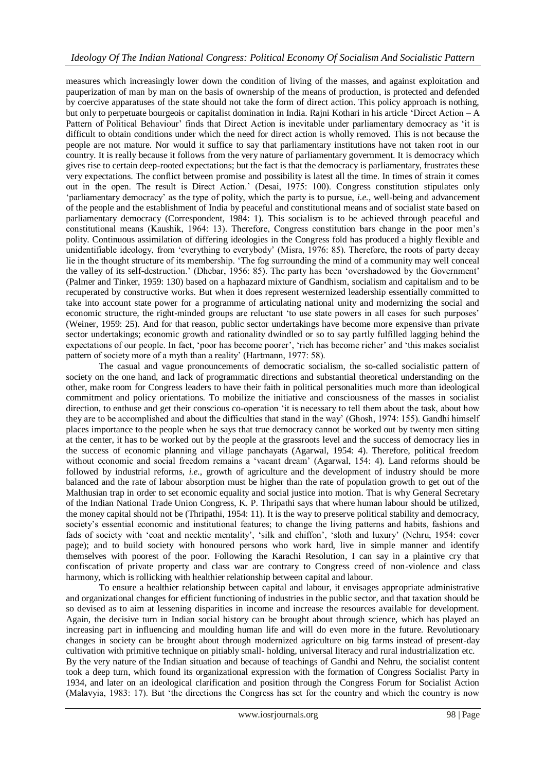measures which increasingly lower down the condition of living of the masses, and against exploitation and pauperization of man by man on the basis of ownership of the means of production, is protected and defended by coercive apparatuses of the state should not take the form of direct action. This policy approach is nothing, but only to perpetuate bourgeois or capitalist domination in India. Rajni Kothari in his article "Direct Action – A Pattern of Political Behaviour' finds that Direct Action is inevitable under parliamentary democracy as 'it is difficult to obtain conditions under which the need for direct action is wholly removed. This is not because the people are not mature. Nor would it suffice to say that parliamentary institutions have not taken root in our country. It is really because it follows from the very nature of parliamentary government. It is democracy which gives rise to certain deep-rooted expectations; but the fact is that the democracy is parliamentary, frustrates these very expectations. The conflict between promise and possibility is latest all the time. In times of strain it comes out in the open. The result is Direct Action." (Desai, 1975: 100). Congress constitution stipulates only "parliamentary democracy" as the type of polity, which the party is to pursue, *i.e.*, well-being and advancement of the people and the establishment of India by peaceful and constitutional means and of socialist state based on parliamentary democracy (Correspondent, 1984: 1). This socialism is to be achieved through peaceful and constitutional means (Kaushik, 1964: 13). Therefore, Congress constitution bars change in the poor men"s polity. Continuous assimilation of differing ideologies in the Congress fold has produced a highly flexible and unidentifiable ideology, from "everything to everybody" (Misra, 1976: 85). Therefore, the roots of party decay lie in the thought structure of its membership. "The fog surrounding the mind of a community may well conceal the valley of its self-destruction." (Dhebar, 1956: 85). The party has been "overshadowed by the Government" (Palmer and Tinker, 1959: 130) based on a haphazard mixture of Gandhism, socialism and capitalism and to be recuperated by constructive works. But when it does represent westernized leadership essentially committed to take into account state power for a programme of articulating national unity and modernizing the social and economic structure, the right-minded groups are reluctant "to use state powers in all cases for such purposes" (Weiner, 1959: 25). And for that reason, public sector undertakings have become more expensive than private sector undertakings; economic growth and rationality dwindled or so to say partly fulfilled lagging behind the expectations of our people. In fact, 'poor has become poorer', 'rich has become richer' and 'this makes socialist pattern of society more of a myth than a reality' (Hartmann, 1977: 58).

The casual and vague pronouncements of democratic socialism, the so-called socialistic pattern of society on the one hand, and lack of programmatic directions and substantial theoretical understanding on the other, make room for Congress leaders to have their faith in political personalities much more than ideological commitment and policy orientations. To mobilize the initiative and consciousness of the masses in socialist direction, to enthuse and get their conscious co-operation "it is necessary to tell them about the task, about how they are to be accomplished and about the difficulties that stand in the way" (Ghosh, 1974: 155). Gandhi himself places importance to the people when he says that true democracy cannot be worked out by twenty men sitting at the center, it has to be worked out by the people at the grassroots level and the success of democracy lies in the success of economic planning and village panchayats (Agarwal, 1954: 4). Therefore, political freedom without economic and social freedom remains a "vacant dream" (Agarwal, 154: 4). Land reforms should be followed by industrial reforms, *i.e.*, growth of agriculture and the development of industry should be more balanced and the rate of labour absorption must be higher than the rate of population growth to get out of the Malthusian trap in order to set economic equality and social justice into motion. That is why General Secretary of the Indian National Trade Union Congress, K. P. Thripathi says that where human labour should be utilized, the money capital should not be (Thripathi, 1954: 11). It is the way to preserve political stability and democracy, society's essential economic and institutional features; to change the living patterns and habits, fashions and fads of society with 'coat and necktie mentality', 'silk and chiffon', 'sloth and luxury' (Nehru, 1954: cover page); and to build society with honoured persons who work hard, live in simple manner and identify themselves with poorest of the poor. Following the Karachi Resolution, I can say in a plaintive cry that confiscation of private property and class war are contrary to Congress creed of non-violence and class harmony, which is rollicking with healthier relationship between capital and labour.

To ensure a healthier relationship between capital and labour, it envisages appropriate administrative and organizational changes for efficient functioning of industries in the public sector, and that taxation should be so devised as to aim at lessening disparities in income and increase the resources available for development. Again, the decisive turn in Indian social history can be brought about through science, which has played an increasing part in influencing and moulding human life and will do even more in the future. Revolutionary changes in society can be brought about through modernized agriculture on big farms instead of present-day cultivation with primitive technique on pitiably small- holding, universal literacy and rural industrialization etc. By the very nature of the Indian situation and because of teachings of Gandhi and Nehru, the socialist content took a deep turn, which found its organizational expression with the formation of Congress Socialist Party in 1934, and later on an ideological clarification and position through the Congress Forum for Socialist Action (Malavyia, 1983: 17). But "the directions the Congress has set for the country and which the country is now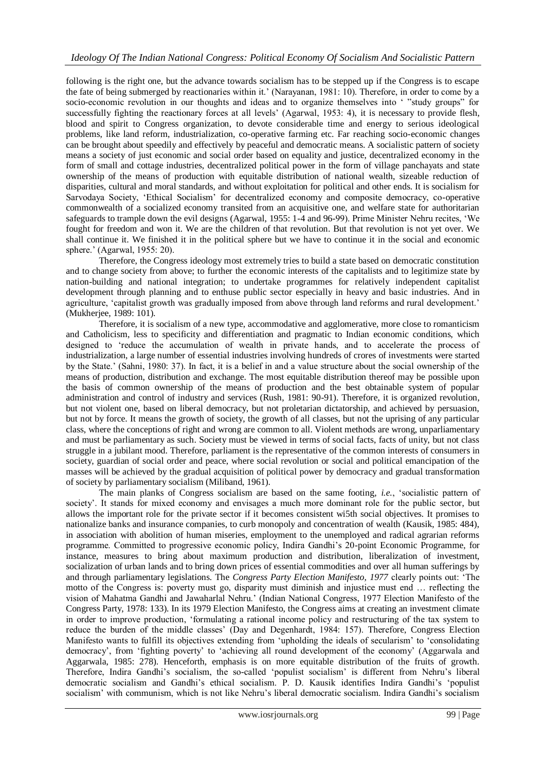following is the right one, but the advance towards socialism has to be stepped up if the Congress is to escape the fate of being submerged by reactionaries within it.' (Narayanan, 1981: 10). Therefore, in order to come by a socio-economic revolution in our thoughts and ideas and to organize themselves into " "study groups" for successfully fighting the reactionary forces at all levels" (Agarwal, 1953: 4), it is necessary to provide flesh, blood and spirit to Congress organization, to devote considerable time and energy to serious ideological problems, like land reform, industrialization, co-operative farming etc. Far reaching socio-economic changes can be brought about speedily and effectively by peaceful and democratic means. A socialistic pattern of society means a society of just economic and social order based on equality and justice, decentralized economy in the form of small and cottage industries, decentralized political power in the form of village panchayats and state ownership of the means of production with equitable distribution of national wealth, sizeable reduction of disparities, cultural and moral standards, and without exploitation for political and other ends. It is socialism for Sarvodaya Society, "Ethical Socialism" for decentralized economy and composite democracy, co-operative commonwealth of a socialized economy transited from an acquisitive one, and welfare state for authoritarian safeguards to trample down the evil designs (Agarwal, 1955: 1-4 and 96-99). Prime Minister Nehru recites, "We fought for freedom and won it. We are the children of that revolution. But that revolution is not yet over. We shall continue it. We finished it in the political sphere but we have to continue it in the social and economic sphere." (Agarwal, 1955: 20).

Therefore, the Congress ideology most extremely tries to build a state based on democratic constitution and to change society from above; to further the economic interests of the capitalists and to legitimize state by nation-building and national integration; to undertake programmes for relatively independent capitalist development through planning and to enthuse public sector especially in heavy and basic industries. And in agriculture, 'capitalist growth was gradually imposed from above through land reforms and rural development.' (Mukherjee, 1989: 101).

Therefore, it is socialism of a new type, accommodative and agglomerative, more close to romanticism and Catholicism, less to specificity and differentiation and pragmatic to Indian economic conditions, which designed to "reduce the accumulation of wealth in private hands, and to accelerate the process of industrialization, a large number of essential industries involving hundreds of crores of investments were started by the State." (Sahni, 1980: 37). In fact, it is a belief in and a value structure about the social ownership of the means of production, distribution and exchange. The most equitable distribution thereof may be possible upon the basis of common ownership of the means of production and the best obtainable system of popular administration and control of industry and services (Rush, 1981: 90-91). Therefore, it is organized revolution, but not violent one, based on liberal democracy, but not proletarian dictatorship, and achieved by persuasion, but not by force. It means the growth of society, the growth of all classes, but not the uprising of any particular class, where the conceptions of right and wrong are common to all. Violent methods are wrong, unparliamentary and must be parliamentary as such. Society must be viewed in terms of social facts, facts of unity, but not class struggle in a jubilant mood. Therefore, parliament is the representative of the common interests of consumers in society, guardian of social order and peace, where social revolution or social and political emancipation of the masses will be achieved by the gradual acquisition of political power by democracy and gradual transformation of society by parliamentary socialism (Miliband, 1961).

The main planks of Congress socialism are based on the same footing, *i.e.*, "socialistic pattern of society'. It stands for mixed economy and envisages a much more dominant role for the public sector, but allows the important role for the private sector if it becomes consistent wi5th social objectives. It promises to nationalize banks and insurance companies, to curb monopoly and concentration of wealth (Kausik, 1985: 484), in association with abolition of human miseries, employment to the unemployed and radical agrarian reforms programme. Committed to progressive economic policy, Indira Gandhi"s 20-point Economic Programme, for instance, measures to bring about maximum production and distribution, liberalization of investment, socialization of urban lands and to bring down prices of essential commodities and over all human sufferings by and through parliamentary legislations. The *Congress Party Election Manifesto, 1977* clearly points out: "The motto of the Congress is: poverty must go, disparity must diminish and injustice must end … reflecting the vision of Mahatma Gandhi and Jawaharlal Nehru." (Indian National Congress, 1977 Election Manifesto of the Congress Party, 1978: 133). In its 1979 Election Manifesto, the Congress aims at creating an investment climate in order to improve production, "formulating a rational income policy and restructuring of the tax system to reduce the burden of the middle classes" (Day and Degenhardt, 1984: 157). Therefore, Congress Election Manifesto wants to fulfill its objectives extending from "upholding the ideals of secularism" to "consolidating democracy", from "fighting poverty" to "achieving all round development of the economy" (Aggarwala and Aggarwala, 1985: 278). Henceforth, emphasis is on more equitable distribution of the fruits of growth. Therefore, Indira Gandhi"s socialism, the so-called "populist socialism" is different from Nehru"s liberal democratic socialism and Gandhi"s ethical socialism. P. D. Kausik identifies Indira Gandhi"s "populist socialism" with communism, which is not like Nehru"s liberal democratic socialism. Indira Gandhi"s socialism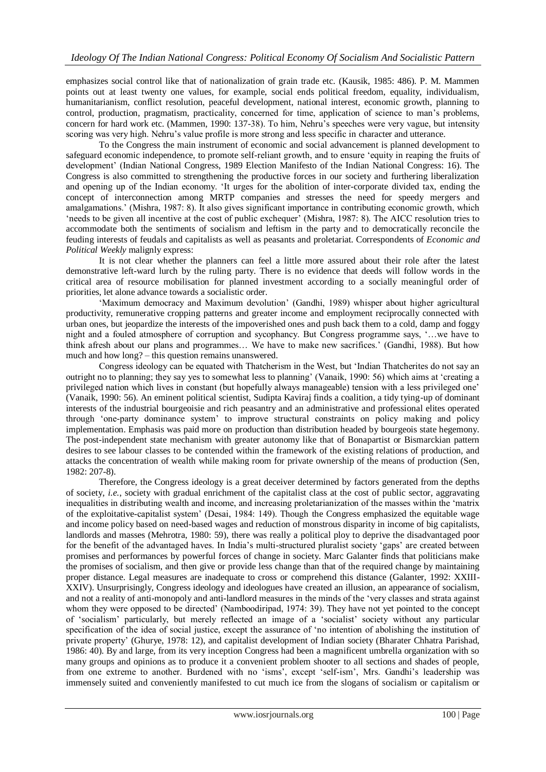emphasizes social control like that of nationalization of grain trade etc. (Kausik, 1985: 486). P. M. Mammen points out at least twenty one values, for example, social ends political freedom, equality, individualism, humanitarianism, conflict resolution, peaceful development, national interest, economic growth, planning to control, production, pragmatism, practicality, concerned for time, application of science to man"s problems, concern for hard work etc. (Mammen, 1990: 137-38). To him, Nehru's speeches were very vague, but intensity scoring was very high. Nehru's value profile is more strong and less specific in character and utterance.

To the Congress the main instrument of economic and social advancement is planned development to safeguard economic independence, to promote self-reliant growth, and to ensure "equity in reaping the fruits of development' (Indian National Congress, 1989 Election Manifesto of the Indian National Congress: 16). The Congress is also committed to strengthening the productive forces in our society and furthering liberalization and opening up of the Indian economy. "It urges for the abolition of inter-corporate divided tax, ending the concept of interconnection among MRTP companies and stresses the need for speedy mergers and amalgamations." (Mishra, 1987: 8). It also gives significant importance in contributing economic growth, which "needs to be given all incentive at the cost of public exchequer" (Mishra, 1987: 8). The AICC resolution tries to accommodate both the sentiments of socialism and leftism in the party and to democratically reconcile the feuding interests of feudals and capitalists as well as peasants and proletariat. Correspondents of *Economic and Political Weekly* malignly express:

It is not clear whether the planners can feel a little more assured about their role after the latest demonstrative left-ward lurch by the ruling party. There is no evidence that deeds will follow words in the critical area of resource mobilisation for planned investment according to a socially meaningful order of priorities, let alone advance towards a socialistic order.

"Maximum democracy and Maximum devolution" (Gandhi, 1989) whisper about higher agricultural productivity, remunerative cropping patterns and greater income and employment reciprocally connected with urban ones, but jeopardize the interests of the impoverished ones and push back them to a cold, damp and foggy night and a fouled atmosphere of corruption and sycophancy. But Congress programme says, "…we have to think afresh about our plans and programmes… We have to make new sacrifices." (Gandhi, 1988). But how much and how long? – this question remains unanswered.

Congress ideology can be equated with Thatcherism in the West, but "Indian Thatcherites do not say an outright no to planning; they say yes to somewhat less to planning" (Vanaik, 1990: 56) which aims at "creating a privileged nation which lives in constant (but hopefully always manageable) tension with a less privileged one" (Vanaik, 1990: 56). An eminent political scientist, Sudipta Kaviraj finds a coalition, a tidy tying-up of dominant interests of the industrial bourgeoisie and rich peasantry and an administrative and professional elites operated through "one-party dominance system" to improve structural constraints on policy making and policy implementation. Emphasis was paid more on production than distribution headed by bourgeois state hegemony. The post-independent state mechanism with greater autonomy like that of Bonapartist or Bismarckian pattern desires to see labour classes to be contended within the framework of the existing relations of production, and attacks the concentration of wealth while making room for private ownership of the means of production (Sen, 1982: 207-8).

Therefore, the Congress ideology is a great deceiver determined by factors generated from the depths of society, *i.e.*, society with gradual enrichment of the capitalist class at the cost of public sector, aggravating inequalities in distributing wealth and income, and increasing proletarianization of the masses within the "matrix of the exploitative-capitalist system" (Desai, 1984: 149). Though the Congress emphasized the equitable wage and income policy based on need-based wages and reduction of monstrous disparity in income of big capitalists, landlords and masses (Mehrotra, 1980: 59), there was really a political ploy to deprive the disadvantaged poor for the benefit of the advantaged haves. In India"s multi-structured pluralist society "gaps" are created between promises and performances by powerful forces of change in society. Marc Galanter finds that politicians make the promises of socialism, and then give or provide less change than that of the required change by maintaining proper distance. Legal measures are inadequate to cross or comprehend this distance (Galanter, 1992: XXIII-XXIV). Unsurprisingly, Congress ideology and ideologues have created an illusion, an appearance of socialism, and not a reality of anti-monopoly and anti-landlord measures in the minds of the "very classes and strata against whom they were opposed to be directed' (Namboodiripad, 1974: 39). They have not yet pointed to the concept of "socialism" particularly, but merely reflected an image of a "socialist" society without any particular specification of the idea of social justice, except the assurance of "no intention of abolishing the institution of private property" (Ghurye, 1978: 12), and capitalist development of Indian society (Bharater Chhatra Parishad, 1986: 40). By and large, from its very inception Congress had been a magnificent umbrella organization with so many groups and opinions as to produce it a convenient problem shooter to all sections and shades of people, from one extreme to another. Burdened with no 'isms', except 'self-ism', Mrs. Gandhi's leadership was immensely suited and conveniently manifested to cut much ice from the slogans of socialism or capitalism or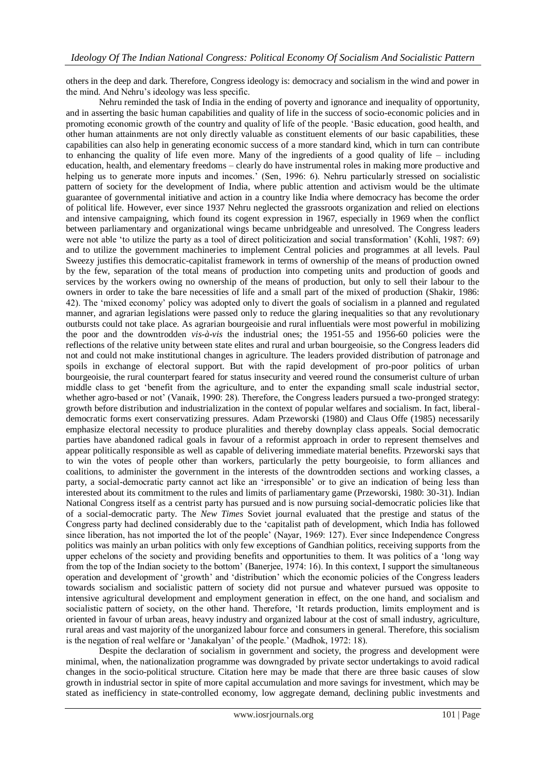others in the deep and dark. Therefore, Congress ideology is: democracy and socialism in the wind and power in the mind. And Nehru"s ideology was less specific.

Nehru reminded the task of India in the ending of poverty and ignorance and inequality of opportunity, and in asserting the basic human capabilities and quality of life in the success of socio-economic policies and in promoting economic growth of the country and quality of life of the people. "Basic education, good health, and other human attainments are not only directly valuable as constituent elements of our basic capabilities, these capabilities can also help in generating economic success of a more standard kind, which in turn can contribute to enhancing the quality of life even more. Many of the ingredients of a good quality of life – including education, health, and elementary freedoms – clearly do have instrumental roles in making more productive and helping us to generate more inputs and incomes.' (Sen, 1996: 6). Nehru particularly stressed on socialistic pattern of society for the development of India, where public attention and activism would be the ultimate guarantee of governmental initiative and action in a country like India where democracy has become the order of political life. However, ever since 1937 Nehru neglected the grassroots organization and relied on elections and intensive campaigning, which found its cogent expression in 1967, especially in 1969 when the conflict between parliamentary and organizational wings became unbridgeable and unresolved. The Congress leaders were not able 'to utilize the party as a tool of direct politicization and social transformation' (Kohli, 1987: 69) and to utilize the government machineries to implement Central policies and programmes at all levels. Paul Sweezy justifies this democratic-capitalist framework in terms of ownership of the means of production owned by the few, separation of the total means of production into competing units and production of goods and services by the workers owing no ownership of the means of production, but only to sell their labour to the owners in order to take the bare necessities of life and a small part of the mixed of production (Shakir, 1986: 42). The "mixed economy" policy was adopted only to divert the goals of socialism in a planned and regulated manner, and agrarian legislations were passed only to reduce the glaring inequalities so that any revolutionary outbursts could not take place. As agrarian bourgeoisie and rural influentials were most powerful in mobilizing the poor and the downtrodden *vis-à-vis* the industrial ones; the 1951-55 and 1956-60 policies were the reflections of the relative unity between state elites and rural and urban bourgeoisie, so the Congress leaders did not and could not make institutional changes in agriculture. The leaders provided distribution of patronage and spoils in exchange of electoral support. But with the rapid development of pro-poor politics of urban bourgeoisie, the rural counterpart feared for status insecurity and veered round the consumerist culture of urban middle class to get "benefit from the agriculture, and to enter the expanding small scale industrial sector, whether agro-based or not' (Vanaik, 1990: 28). Therefore, the Congress leaders pursued a two-pronged strategy: growth before distribution and industrialization in the context of popular welfares and socialism. In fact, liberaldemocratic forms exert conservatizing pressures. Adam Przeworski (1980) and Claus Offe (1985) necessarily emphasize electoral necessity to produce pluralities and thereby downplay class appeals. Social democratic parties have abandoned radical goals in favour of a reformist approach in order to represent themselves and appear politically responsible as well as capable of delivering immediate material benefits. Przeworski says that to win the votes of people other than workers, particularly the petty bourgeoisie, to form alliances and coalitions, to administer the government in the interests of the downtrodden sections and working classes, a party, a social-democratic party cannot act like an "irresponsible" or to give an indication of being less than interested about its commitment to the rules and limits of parliamentary game (Przeworski, 1980: 30-31). Indian National Congress itself as a centrist party has pursued and is now pursuing social-democratic policies like that of a social-democratic party. The *New Times* Soviet journal evaluated that the prestige and status of the Congress party had declined considerably due to the "capitalist path of development, which India has followed since liberation, has not imported the lot of the people" (Nayar, 1969: 127). Ever since Independence Congress politics was mainly an urban politics with only few exceptions of Gandhian politics, receiving supports from the upper echelons of the society and providing benefits and opportunities to them. It was politics of a "long way from the top of the Indian society to the bottom" (Banerjee, 1974: 16). In this context, I support the simultaneous operation and development of "growth" and "distribution" which the economic policies of the Congress leaders towards socialism and socialistic pattern of society did not pursue and whatever pursued was opposite to intensive agricultural development and employment generation in effect, on the one hand, and socialism and socialistic pattern of society, on the other hand. Therefore, "It retards production, limits employment and is oriented in favour of urban areas, heavy industry and organized labour at the cost of small industry, agriculture, rural areas and vast majority of the unorganized labour force and consumers in general. Therefore, this socialism is the negation of real welfare or 'Janakalyan' of the people.' (Madhok, 1972: 18).

Despite the declaration of socialism in government and society, the progress and development were minimal, when, the nationalization programme was downgraded by private sector undertakings to avoid radical changes in the socio-political structure. Citation here may be made that there are three basic causes of slow growth in industrial sector in spite of more capital accumulation and more savings for investment, which may be stated as inefficiency in state-controlled economy, low aggregate demand, declining public investments and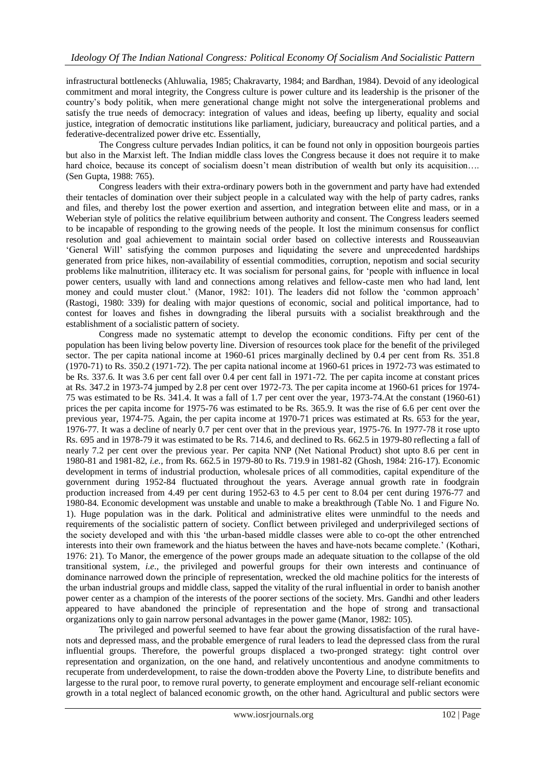infrastructural bottlenecks (Ahluwalia, 1985; Chakravarty, 1984; and Bardhan, 1984). Devoid of any ideological commitment and moral integrity, the Congress culture is power culture and its leadership is the prisoner of the country"s body politik, when mere generational change might not solve the intergenerational problems and satisfy the true needs of democracy: integration of values and ideas, beefing up liberty, equality and social justice, integration of democratic institutions like parliament, judiciary, bureaucracy and political parties, and a federative-decentralized power drive etc. Essentially,

The Congress culture pervades Indian politics, it can be found not only in opposition bourgeois parties but also in the Marxist left. The Indian middle class loves the Congress because it does not require it to make hard choice, because its concept of socialism doesn't mean distribution of wealth but only its acquisition.... (Sen Gupta, 1988: 765).

Congress leaders with their extra-ordinary powers both in the government and party have had extended their tentacles of domination over their subject people in a calculated way with the help of party cadres, ranks and files, and thereby lost the power exertion and assertion, and integration between elite and mass, or in a Weberian style of politics the relative equilibrium between authority and consent. The Congress leaders seemed to be incapable of responding to the growing needs of the people. It lost the minimum consensus for conflict resolution and goal achievement to maintain social order based on collective interests and Rousseauvian "General Will" satisfying the common purposes and liquidating the severe and unprecedented hardships generated from price hikes, non-availability of essential commodities, corruption, nepotism and social security problems like malnutrition, illiteracy etc. It was socialism for personal gains, for "people with influence in local power centers, usually with land and connections among relatives and fellow-caste men who had land, lent money and could muster clout.' (Manor, 1982: 101). The leaders did not follow the 'common approach' (Rastogi, 1980: 339) for dealing with major questions of economic, social and political importance, had to contest for loaves and fishes in downgrading the liberal pursuits with a socialist breakthrough and the establishment of a socialistic pattern of society.

Congress made no systematic attempt to develop the economic conditions. Fifty per cent of the population has been living below poverty line. Diversion of resources took place for the benefit of the privileged sector. The per capita national income at 1960-61 prices marginally declined by 0.4 per cent from Rs. 351.8 (1970-71) to Rs. 350.2 (1971-72). The per capita national income at 1960-61 prices in 1972-73 was estimated to be Rs. 337.6. It was 3.6 per cent fall over 0.4 per cent fall in 1971-72. The per capita income at constant prices at Rs. 347.2 in 1973-74 jumped by 2.8 per cent over 1972-73. The per capita income at 1960-61 prices for 1974- 75 was estimated to be Rs. 341.4. It was a fall of 1.7 per cent over the year, 1973-74.At the constant (1960-61) prices the per capita income for 1975-76 was estimated to be Rs. 365.9. It was the rise of 6.6 per cent over the previous year, 1974-75. Again, the per capita income at 1970-71 prices was estimated at Rs. 653 for the year, 1976-77. It was a decline of nearly 0.7 per cent over that in the previous year, 1975-76. In 1977-78 it rose upto Rs. 695 and in 1978-79 it was estimated to be Rs. 714.6, and declined to Rs. 662.5 in 1979-80 reflecting a fall of nearly 7.2 per cent over the previous year. Per capita NNP (Net National Product) shot upto 8.6 per cent in 1980-81 and 1981-82, *i.e.*, from Rs. 662.5 in 1979-80 to Rs. 719.9 in 1981-82 (Ghosh, 1984: 216-17). Economic development in terms of industrial production, wholesale prices of all commodities, capital expenditure of the government during 1952-84 fluctuated throughout the years. Average annual growth rate in foodgrain production increased from 4.49 per cent during 1952-63 to 4.5 per cent to 8.04 per cent during 1976-77 and 1980-84. Economic development was unstable and unable to make a breakthrough (Table No. 1 and Figure No. 1). Huge population was in the dark. Political and administrative elites were unmindful to the needs and requirements of the socialistic pattern of society. Conflict between privileged and underprivileged sections of the society developed and with this "the urban-based middle classes were able to co-opt the other entrenched interests into their own framework and the hiatus between the haves and have-nots became complete." (Kothari, 1976: 21). To Manor, the emergence of the power groups made an adequate situation to the collapse of the old transitional system, *i.e.*, the privileged and powerful groups for their own interests and continuance of dominance narrowed down the principle of representation, wrecked the old machine politics for the interests of the urban industrial groups and middle class, sapped the vitality of the rural influential in order to banish another power center as a champion of the interests of the poorer sections of the society. Mrs. Gandhi and other leaders appeared to have abandoned the principle of representation and the hope of strong and transactional organizations only to gain narrow personal advantages in the power game (Manor, 1982: 105).

The privileged and powerful seemed to have fear about the growing dissatisfaction of the rural havenots and depressed mass, and the probable emergence of rural leaders to lead the depressed class from the rural influential groups. Therefore, the powerful groups displaced a two-pronged strategy: tight control over representation and organization, on the one hand, and relatively uncontentious and anodyne commitments to recuperate from underdevelopment, to raise the down-trodden above the Poverty Line, to distribute benefits and largesse to the rural poor, to remove rural poverty, to generate employment and encourage self-reliant economic growth in a total neglect of balanced economic growth, on the other hand. Agricultural and public sectors were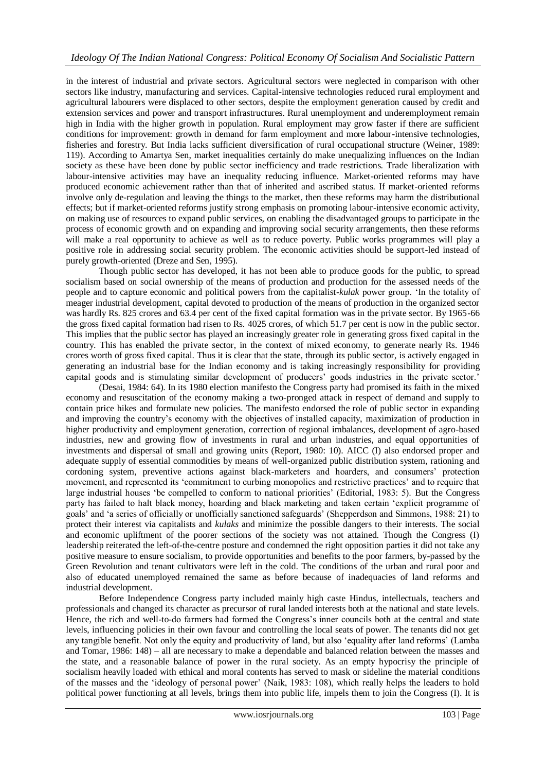in the interest of industrial and private sectors. Agricultural sectors were neglected in comparison with other sectors like industry, manufacturing and services. Capital-intensive technologies reduced rural employment and agricultural labourers were displaced to other sectors, despite the employment generation caused by credit and extension services and power and transport infrastructures. Rural unemployment and underemployment remain high in India with the higher growth in population. Rural employment may grow faster if there are sufficient conditions for improvement: growth in demand for farm employment and more labour-intensive technologies, fisheries and forestry. But India lacks sufficient diversification of rural occupational structure (Weiner, 1989: 119). According to Amartya Sen, market inequalities certainly do make unequalizing influences on the Indian society as these have been done by public sector inefficiency and trade restrictions. Trade liberalization with labour-intensive activities may have an inequality reducing influence. Market-oriented reforms may have produced economic achievement rather than that of inherited and ascribed status. If market-oriented reforms involve only de-regulation and leaving the things to the market, then these reforms may harm the distributional effects; but if market-oriented reforms justify strong emphasis on promoting labour-intensive economic activity, on making use of resources to expand public services, on enabling the disadvantaged groups to participate in the process of economic growth and on expanding and improving social security arrangements, then these reforms will make a real opportunity to achieve as well as to reduce poverty. Public works programmes will play a positive role in addressing social security problem. The economic activities should be support-led instead of purely growth-oriented (Dreze and Sen, 1995).

Though public sector has developed, it has not been able to produce goods for the public, to spread socialism based on social ownership of the means of production and production for the assessed needs of the people and to capture economic and political powers from the capitalist-*kulak* power group. "In the totality of meager industrial development, capital devoted to production of the means of production in the organized sector was hardly Rs. 825 crores and 63.4 per cent of the fixed capital formation was in the private sector. By 1965-66 the gross fixed capital formation had risen to Rs. 4025 crores, of which 51.7 per cent is now in the public sector. This implies that the public sector has played an increasingly greater role in generating gross fixed capital in the country. This has enabled the private sector, in the context of mixed economy, to generate nearly Rs. 1946 crores worth of gross fixed capital. Thus it is clear that the state, through its public sector, is actively engaged in generating an industrial base for the Indian economy and is taking increasingly responsibility for providing capital goods and is stimulating similar development of producers' goods industries in the private sector."

(Desai, 1984: 64). In its 1980 election manifesto the Congress party had promised its faith in the mixed economy and resuscitation of the economy making a two-pronged attack in respect of demand and supply to contain price hikes and formulate new policies. The manifesto endorsed the role of public sector in expanding and improving the country"s economy with the objectives of installed capacity, maximization of production in higher productivity and employment generation, correction of regional imbalances, development of agro-based industries, new and growing flow of investments in rural and urban industries, and equal opportunities of investments and dispersal of small and growing units (Report, 1980: 10). AICC (I) also endorsed proper and adequate supply of essential commodities by means of well-organized public distribution system, rationing and cordoning system, preventive actions against black-marketers and hoarders, and consumers" protection movement, and represented its "commitment to curbing monopolies and restrictive practices" and to require that large industrial houses 'be compelled to conform to national priorities' (Editorial, 1983: 5). But the Congress party has failed to halt black money, hoarding and black marketing and taken certain "explicit programme of goals" and "a series of officially or unofficially sanctioned safeguards" (Shepperdson and Simmons, 1988: 21) to protect their interest via capitalists and *kulaks* and minimize the possible dangers to their interests. The social and economic upliftment of the poorer sections of the society was not attained. Though the Congress (I) leadership reiterated the left-of-the-centre posture and condemned the right opposition parties it did not take any positive measure to ensure socialism, to provide opportunities and benefits to the poor farmers, by-passed by the Green Revolution and tenant cultivators were left in the cold. The conditions of the urban and rural poor and also of educated unemployed remained the same as before because of inadequacies of land reforms and industrial development.

Before Independence Congress party included mainly high caste Hindus, intellectuals, teachers and professionals and changed its character as precursor of rural landed interests both at the national and state levels. Hence, the rich and well-to-do farmers had formed the Congress"s inner councils both at the central and state levels, influencing policies in their own favour and controlling the local seats of power. The tenants did not get any tangible benefit. Not only the equity and productivity of land, but also "equality after land reforms" (Lamba and Tomar, 1986: 148) – all are necessary to make a dependable and balanced relation between the masses and the state, and a reasonable balance of power in the rural society. As an empty hypocrisy the principle of socialism heavily loaded with ethical and moral contents has served to mask or sideline the material conditions of the masses and the "ideology of personal power" (Naik, 1983: 108), which really helps the leaders to hold political power functioning at all levels, brings them into public life, impels them to join the Congress (I). It is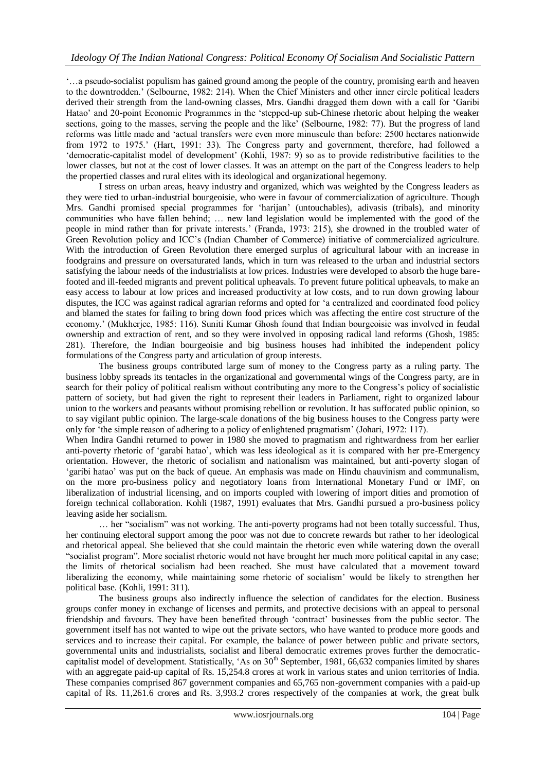"…a pseudo-socialist populism has gained ground among the people of the country, promising earth and heaven to the downtrodden." (Selbourne, 1982: 214). When the Chief Ministers and other inner circle political leaders derived their strength from the land-owning classes, Mrs. Gandhi dragged them down with a call for "Garibi Hatao" and 20-point Economic Programmes in the "stepped-up sub-Chinese rhetoric about helping the weaker sections, going to the masses, serving the people and the like" (Selbourne, 1982: 77). But the progress of land reforms was little made and "actual transfers were even more minuscule than before: 2500 hectares nationwide from 1972 to 1975.' (Hart, 1991: 33). The Congress party and government, therefore, had followed a 'democratic-capitalist model of development' (Kohli, 1987: 9) so as to provide redistributive facilities to the lower classes, but not at the cost of lower classes. It was an attempt on the part of the Congress leaders to help the propertied classes and rural elites with its ideological and organizational hegemony.

I stress on urban areas, heavy industry and organized, which was weighted by the Congress leaders as they were tied to urban-industrial bourgeoisie, who were in favour of commercialization of agriculture. Though Mrs. Gandhi promised special programmes for "harijan" (untouchables), adivasis (tribals), and minority communities who have fallen behind; … new land legislation would be implemented with the good of the people in mind rather than for private interests." (Franda, 1973: 215), she drowned in the troubled water of Green Revolution policy and ICC"s (Indian Chamber of Commerce) initiative of commercialized agriculture. With the introduction of Green Revolution there emerged surplus of agricultural labour with an increase in foodgrains and pressure on oversaturated lands, which in turn was released to the urban and industrial sectors satisfying the labour needs of the industrialists at low prices. Industries were developed to absorb the huge barefooted and ill-feeded migrants and prevent political upheavals. To prevent future political upheavals, to make an easy access to labour at low prices and increased productivity at low costs, and to run down growing labour disputes, the ICC was against radical agrarian reforms and opted for "a centralized and coordinated food policy and blamed the states for failing to bring down food prices which was affecting the entire cost structure of the economy." (Mukherjee, 1985: 116). Suniti Kumar Ghosh found that Indian bourgeoisie was involved in feudal ownership and extraction of rent, and so they were involved in opposing radical land reforms (Ghosh, 1985: 281). Therefore, the Indian bourgeoisie and big business houses had inhibited the independent policy formulations of the Congress party and articulation of group interests.

The business groups contributed large sum of money to the Congress party as a ruling party. The business lobby spreads its tentacles in the organizational and governmental wings of the Congress party, are in search for their policy of political realism without contributing any more to the Congress"s policy of socialistic pattern of society, but had given the right to represent their leaders in Parliament, right to organized labour union to the workers and peasants without promising rebellion or revolution. It has suffocated public opinion, so to say vigilant public opinion. The large-scale donations of the big business houses to the Congress party were only for "the simple reason of adhering to a policy of enlightened pragmatism" (Johari, 1972: 117).

When Indira Gandhi returned to power in 1980 she moved to pragmatism and rightwardness from her earlier anti-poverty rhetoric of "garabi hatao", which was less ideological as it is compared with her pre-Emergency orientation. However, the rhetoric of socialism and nationalism was maintained, but anti-poverty slogan of "garibi hatao" was put on the back of queue. An emphasis was made on Hindu chauvinism and communalism, on the more pro-business policy and negotiatory loans from International Monetary Fund or IMF, on liberalization of industrial licensing, and on imports coupled with lowering of import dities and promotion of foreign technical collaboration. Kohli (1987, 1991) evaluates that Mrs. Gandhi pursued a pro-business policy leaving aside her socialism.

… her "socialism" was not working. The anti-poverty programs had not been totally successful. Thus, her continuing electoral support among the poor was not due to concrete rewards but rather to her ideological and rhetorical appeal. She believed that she could maintain the rhetoric even while watering down the overall "socialist program". More socialist rhetoric would not have brought her much more political capital in any case; the limits of rhetorical socialism had been reached. She must have calculated that a movement toward liberalizing the economy, while maintaining some rhetoric of socialism" would be likely to strengthen her political base. (Kohli, 1991: 311).

The business groups also indirectly influence the selection of candidates for the election. Business groups confer money in exchange of licenses and permits, and protective decisions with an appeal to personal friendship and favours. They have been benefited through "contract" businesses from the public sector. The government itself has not wanted to wipe out the private sectors, who have wanted to produce more goods and services and to increase their capital. For example, the balance of power between public and private sectors, governmental units and industrialists, socialist and liberal democratic extremes proves further the democraticcapitalist model of development. Statistically, 'As on  $30<sup>th</sup>$  September, 1981, 66,632 companies limited by shares with an aggregate paid-up capital of Rs. 15,254.8 crores at work in various states and union territories of India. These companies comprised 867 government companies and 65,765 non-government companies with a paid-up capital of Rs. 11,261.6 crores and Rs. 3,993.2 crores respectively of the companies at work, the great bulk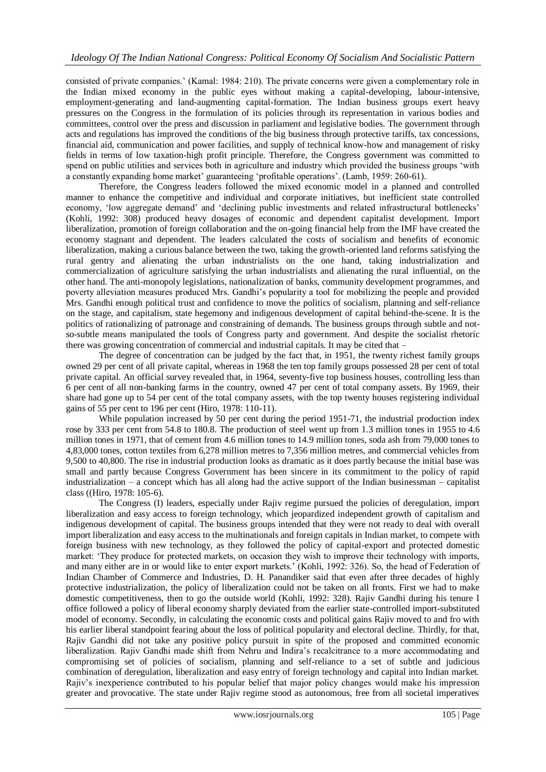consisted of private companies." (Kamal: 1984: 210). The private concerns were given a complementary role in the Indian mixed economy in the public eyes without making a capital-developing, labour-intensive, employment-generating and land-augmenting capital-formation. The Indian business groups exert heavy pressures on the Congress in the formulation of its policies through its representation in various bodies and committees, control over the press and discussion in parliament and legislative bodies. The government through acts and regulations has improved the conditions of the big business through protective tariffs, tax concessions, financial aid, communication and power facilities, and supply of technical know-how and management of risky fields in terms of low taxation-high profit principle. Therefore, the Congress government was committed to spend on public utilities and services both in agriculture and industry which provided the business groups 'with a constantly expanding home market' guaranteeing 'profitable operations'. (Lamb, 1959: 260-61).

Therefore, the Congress leaders followed the mixed economic model in a planned and controlled manner to enhance the competitive and individual and corporate initiatives, but inefficient state controlled economy, "low aggregate demand" and "declining public investments and related infrastructural bottlenecks" (Kohli, 1992: 308) produced heavy dosages of economic and dependent capitalist development. Import liberalization, promotion of foreign collaboration and the on-going financial help from the IMF have created the economy stagnant and dependent. The leaders calculated the costs of socialism and benefits of economic liberalization, making a curious balance between the two, taking the growth-oriented land reforms satisfying the rural gentry and alienating the urban industrialists on the one hand, taking industrialization and commercialization of agriculture satisfying the urban industrialists and alienating the rural influential, on the other hand. The anti-monopoly legislations, nationalization of banks, community development programmes, and poverty alleviation measures produced Mrs. Gandhi"s popularity a tool for mobilizing the people and provided Mrs. Gandhi enough political trust and confidence to move the politics of socialism, planning and self-reliance on the stage, and capitalism, state hegemony and indigenous development of capital behind-the-scene. It is the politics of rationalizing of patronage and constraining of demands. The business groups through subtle and notso-subtle means manipulated the tools of Congress party and government. And despite the socialist rhetoric there was growing concentration of commercial and industrial capitals. It may be cited that –

The degree of concentration can be judged by the fact that, in 1951, the twenty richest family groups owned 29 per cent of all private capital, whereas in 1968 the ten top family groups possessed 28 per cent of total private capital. An official survey revealed that, in 1964, seventy-five top business houses, controlling less than 6 per cent of all non-banking farms in the country, owned 47 per cent of total company assets. By 1969, their share had gone up to 54 per cent of the total company assets, with the top twenty houses registering individual gains of 55 per cent to 196 per cent (Hiro, 1978: 110-11).

While population increased by 50 per cent during the period 1951-71, the industrial production index rose by 333 per cent from 54.8 to 180.8. The production of steel went up from 1.3 million tones in 1955 to 4.6 million tones in 1971, that of cement from 4.6 million tones to 14.9 million tones, soda ash from 79,000 tones to 4,83,000 tones, cotton textiles from 6,278 million metres to 7,356 million metres, and commercial vehicles from 9,500 to 40,800. The rise in industrial production looks as dramatic as it does partly because the initial base was small and partly because Congress Government has been sincere in its commitment to the policy of rapid industrialization – a concept which has all along had the active support of the Indian businessman – capitalist class ((Hiro, 1978: 105-6).

The Congress (I) leaders, especially under Rajiv regime pursued the policies of deregulation, import liberalization and easy access to foreign technology, which jeopardized independent growth of capitalism and indigenous development of capital. The business groups intended that they were not ready to deal with overall import liberalization and easy access to the multinationals and foreign capitals in Indian market, to compete with foreign business with new technology, as they followed the policy of capital-export and protected domestic market: "They produce for protected markets, on occasion they wish to improve their technology with imports, and many either are in or would like to enter export markets." (Kohli, 1992: 326). So, the head of Federation of Indian Chamber of Commerce and Industries, D. H. Panandiker said that even after three decades of highly protective industrialization, the policy of liberalization could not be taken on all fronts. First we had to make domestic competitiveness, then to go the outside world (Kohli, 1992: 328). Rajiv Gandhi during his tenure I office followed a policy of liberal economy sharply deviated from the earlier state-controlled import-substituted model of economy. Secondly, in calculating the economic costs and political gains Rajiv moved to and fro with his earlier liberal standpoint fearing about the loss of political popularity and electoral decline. Thirdly, for that, Rajiv Gandhi did not take any positive policy pursuit in spite of the proposed and committed economic liberalization. Rajiv Gandhi made shift from Nehru and Indira"s recalcitrance to a more accommodating and compromising set of policies of socialism, planning and self-reliance to a set of subtle and judicious combination of deregulation, liberalization and easy entry of foreign technology and capital into Indian market. Rajiv's inexperience contributed to his popular belief that major policy changes would make his impression greater and provocative. The state under Rajiv regime stood as autonomous, free from all societal imperatives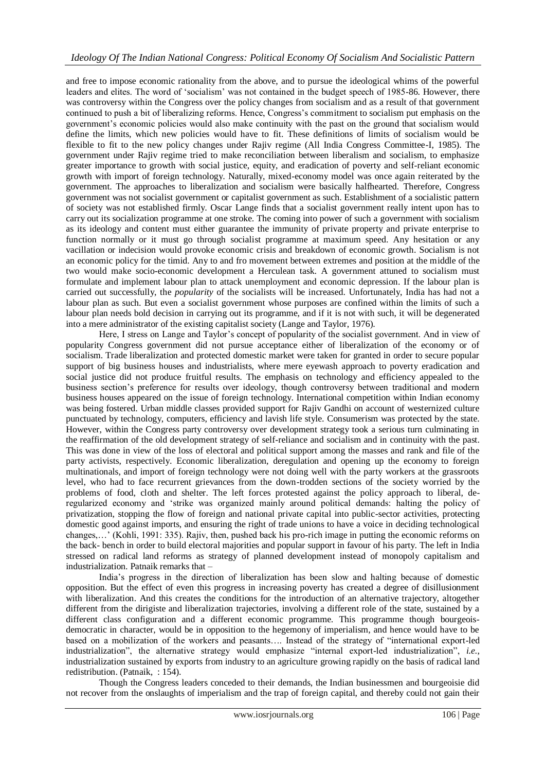and free to impose economic rationality from the above, and to pursue the ideological whims of the powerful leaders and elites. The word of "socialism" was not contained in the budget speech of 1985-86. However, there was controversy within the Congress over the policy changes from socialism and as a result of that government continued to push a bit of liberalizing reforms. Hence, Congress"s commitment to socialism put emphasis on the government"s economic policies would also make continuity with the past on the ground that socialism would define the limits, which new policies would have to fit. These definitions of limits of socialism would be flexible to fit to the new policy changes under Rajiv regime (All India Congress Committee-I, 1985). The government under Rajiv regime tried to make reconciliation between liberalism and socialism, to emphasize greater importance to growth with social justice, equity, and eradication of poverty and self-reliant economic growth with import of foreign technology. Naturally, mixed-economy model was once again reiterated by the government. The approaches to liberalization and socialism were basically halfhearted. Therefore, Congress government was not socialist government or capitalist government as such. Establishment of a socialistic pattern of society was not established firmly. Oscar Lange finds that a socialist government really intent upon has to carry out its socialization programme at one stroke. The coming into power of such a government with socialism as its ideology and content must either guarantee the immunity of private property and private enterprise to function normally or it must go through socialist programme at maximum speed. Any hesitation or any vacillation or indecision would provoke economic crisis and breakdown of economic growth. Socialism is not an economic policy for the timid. Any to and fro movement between extremes and position at the middle of the two would make socio-economic development a Herculean task. A government attuned to socialism must formulate and implement labour plan to attack unemployment and economic depression. If the labour plan is carried out successfully, the *popularity* of the socialists will be increased. Unfortunately, India has had not a labour plan as such. But even a socialist government whose purposes are confined within the limits of such a labour plan needs bold decision in carrying out its programme, and if it is not with such, it will be degenerated into a mere administrator of the existing capitalist society (Lange and Taylor, 1976).

Here, I stress on Lange and Taylor"s concept of popularity of the socialist government. And in view of popularity Congress government did not pursue acceptance either of liberalization of the economy or of socialism. Trade liberalization and protected domestic market were taken for granted in order to secure popular support of big business houses and industrialists, where mere eyewash approach to poverty eradication and social justice did not produce fruitful results. The emphasis on technology and efficiency appealed to the business section's preference for results over ideology, though controversy between traditional and modern business houses appeared on the issue of foreign technology. International competition within Indian economy was being fostered. Urban middle classes provided support for Rajiv Gandhi on account of westernized culture punctuated by technology, computers, efficiency and lavish life style. Consumerism was protected by the state. However, within the Congress party controversy over development strategy took a serious turn culminating in the reaffirmation of the old development strategy of self-reliance and socialism and in continuity with the past. This was done in view of the loss of electoral and political support among the masses and rank and file of the party activists, respectively. Economic liberalization, deregulation and opening up the economy to foreign multinationals, and import of foreign technology were not doing well with the party workers at the grassroots level, who had to face recurrent grievances from the down-trodden sections of the society worried by the problems of food, cloth and shelter. The left forces protested against the policy approach to liberal, deregularized economy and "strike was organized mainly around political demands: halting the policy of privatization, stopping the flow of foreign and national private capital into public-sector activities, protecting domestic good against imports, and ensuring the right of trade unions to have a voice in deciding technological changes,…" (Kohli, 1991: 335). Rajiv, then, pushed back his pro-rich image in putting the economic reforms on the back- bench in order to build electoral majorities and popular support in favour of his party. The left in India stressed on radical land reforms as strategy of planned development instead of monopoly capitalism and industrialization. Patnaik remarks that –

India"s progress in the direction of liberalization has been slow and halting because of domestic opposition. But the effect of even this progress in increasing poverty has created a degree of disillusionment with liberalization. And this creates the conditions for the introduction of an alternative trajectory, altogether different from the dirigiste and liberalization trajectories, involving a different role of the state, sustained by a different class configuration and a different economic programme. This programme though bourgeoisdemocratic in character, would be in opposition to the hegemony of imperialism, and hence would have to be based on a mobilization of the workers and peasants…. Instead of the strategy of "international export-led industrialization", the alternative strategy would emphasize "internal export-led industrialization", *i.e.*, industrialization sustained by exports from industry to an agriculture growing rapidly on the basis of radical land redistribution. (Patnaik, : 154).

Though the Congress leaders conceded to their demands, the Indian businessmen and bourgeoisie did not recover from the onslaughts of imperialism and the trap of foreign capital, and thereby could not gain their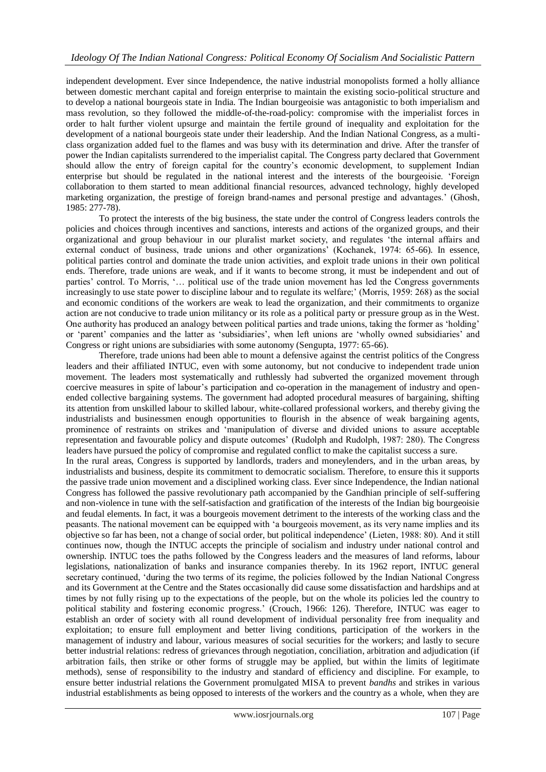independent development. Ever since Independence, the native industrial monopolists formed a holly alliance between domestic merchant capital and foreign enterprise to maintain the existing socio-political structure and to develop a national bourgeois state in India. The Indian bourgeoisie was antagonistic to both imperialism and mass revolution, so they followed the middle-of-the-road-policy: compromise with the imperialist forces in order to halt further violent upsurge and maintain the fertile ground of inequality and exploitation for the development of a national bourgeois state under their leadership. And the Indian National Congress, as a multiclass organization added fuel to the flames and was busy with its determination and drive. After the transfer of power the Indian capitalists surrendered to the imperialist capital. The Congress party declared that Government should allow the entry of foreign capital for the country's economic development, to supplement Indian enterprise but should be regulated in the national interest and the interests of the bourgeoisie. "Foreign collaboration to them started to mean additional financial resources, advanced technology, highly developed marketing organization, the prestige of foreign brand-names and personal prestige and advantages." (Ghosh, 1985: 277-78).

To protect the interests of the big business, the state under the control of Congress leaders controls the policies and choices through incentives and sanctions, interests and actions of the organized groups, and their organizational and group behaviour in our pluralist market society, and regulates "the internal affairs and external conduct of business, trade unions and other organizations" (Kochanek, 1974: 65-66). In essence, political parties control and dominate the trade union activities, and exploit trade unions in their own political ends. Therefore, trade unions are weak, and if it wants to become strong, it must be independent and out of parties' control. To Morris, '... political use of the trade union movement has led the Congress governments increasingly to use state power to discipline labour and to regulate its welfare;" (Morris, 1959: 268) as the social and economic conditions of the workers are weak to lead the organization, and their commitments to organize action are not conducive to trade union militancy or its role as a political party or pressure group as in the West. One authority has produced an analogy between political parties and trade unions, taking the former as "holding" or "parent" companies and the latter as "subsidiaries", when left unions are "wholly owned subsidiaries" and Congress or right unions are subsidiaries with some autonomy (Sengupta, 1977: 65-66).

Therefore, trade unions had been able to mount a defensive against the centrist politics of the Congress leaders and their affiliated INTUC, even with some autonomy, but not conducive to independent trade union movement. The leaders most systematically and ruthlessly had subverted the organized movement through coercive measures in spite of labour"s participation and co-operation in the management of industry and openended collective bargaining systems. The government had adopted procedural measures of bargaining, shifting its attention from unskilled labour to skilled labour, white-collared professional workers, and thereby giving the industrialists and businessmen enough opportunities to flourish in the absence of weak bargaining agents, prominence of restraints on strikes and "manipulation of diverse and divided unions to assure acceptable representation and favourable policy and dispute outcomes" (Rudolph and Rudolph, 1987: 280). The Congress leaders have pursued the policy of compromise and regulated conflict to make the capitalist success a sure. In the rural areas, Congress is supported by landlords, traders and moneylenders, and in the urban areas, by industrialists and business, despite its commitment to democratic socialism. Therefore, to ensure this it supports the passive trade union movement and a disciplined working class. Ever since Independence, the Indian national Congress has followed the passive revolutionary path accompanied by the Gandhian principle of self-suffering and non-violence in tune with the self-satisfaction and gratification of the interests of the Indian big bourgeoisie and feudal elements. In fact, it was a bourgeois movement detriment to the interests of the working class and the peasants. The national movement can be equipped with "a bourgeois movement, as its very name implies and its objective so far has been, not a change of social order, but political independence" (Lieten, 1988: 80). And it still continues now, though the INTUC accepts the principle of socialism and industry under national control and ownership. INTUC toes the paths followed by the Congress leaders and the measures of land reforms, labour legislations, nationalization of banks and insurance companies thereby. In its 1962 report, INTUC general secretary continued, "during the two terms of its regime, the policies followed by the Indian National Congress and its Government at the Centre and the States occasionally did cause some dissatisfaction and hardships and at times by not fully rising up to the expectations of the people, but on the whole its policies led the country to political stability and fostering economic progress." (Crouch, 1966: 126). Therefore, INTUC was eager to establish an order of society with all round development of individual personality free from inequality and exploitation; to ensure full employment and better living conditions, participation of the workers in the management of industry and labour, various measures of social securities for the workers; and lastly to secure better industrial relations: redress of grievances through negotiation, conciliation, arbitration and adjudication (if arbitration fails, then strike or other forms of struggle may be applied, but within the limits of legitimate methods), sense of responsibility to the industry and standard of efficiency and discipline. For example, to ensure better industrial relations the Government promulgated MISA to prevent *bandhs* and strikes in various industrial establishments as being opposed to interests of the workers and the country as a whole, when they are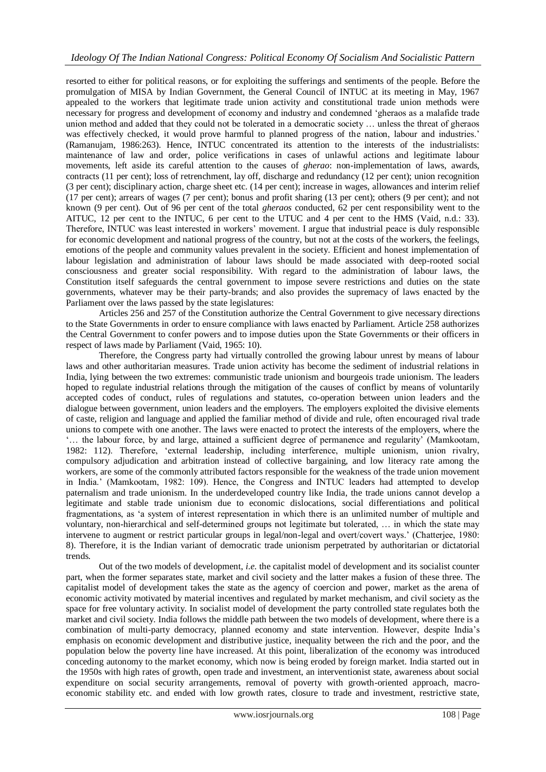resorted to either for political reasons, or for exploiting the sufferings and sentiments of the people. Before the promulgation of MISA by Indian Government, the General Council of INTUC at its meeting in May, 1967 appealed to the workers that legitimate trade union activity and constitutional trade union methods were necessary for progress and development of economy and industry and condemned "gheraos as a malafide trade union method and added that they could not be tolerated in a democratic society … unless the threat of gheraos was effectively checked, it would prove harmful to planned progress of the nation, labour and industries." (Ramanujam, 1986:263). Hence, INTUC concentrated its attention to the interests of the industrialists: maintenance of law and order, police verifications in cases of unlawful actions and legitimate labour movements, left aside its careful attention to the causes of *gherao*: non-implementation of laws, awards, contracts (11 per cent); loss of retrenchment, lay off, discharge and redundancy (12 per cent); union recognition (3 per cent); disciplinary action, charge sheet etc. (14 per cent); increase in wages, allowances and interim relief (17 per cent); arrears of wages (7 per cent); bonus and profit sharing (13 per cent); others (9 per cent); and not known (9 per cent). Out of 96 per cent of the total *gheraos* conducted, 62 per cent responsibility went to the AITUC, 12 per cent to the INTUC, 6 per cent to the UTUC and 4 per cent to the HMS (Vaid, n.d.: 33). Therefore, INTUC was least interested in workers" movement. I argue that industrial peace is duly responsible for economic development and national progress of the country, but not at the costs of the workers, the feelings, emotions of the people and community values prevalent in the society. Efficient and honest implementation of labour legislation and administration of labour laws should be made associated with deep-rooted social consciousness and greater social responsibility. With regard to the administration of labour laws, the Constitution itself safeguards the central government to impose severe restrictions and duties on the state governments, whatever may be their party-brands; and also provides the supremacy of laws enacted by the Parliament over the laws passed by the state legislatures:

Articles 256 and 257 of the Constitution authorize the Central Government to give necessary directions to the State Governments in order to ensure compliance with laws enacted by Parliament. Article 258 authorizes the Central Government to confer powers and to impose duties upon the State Governments or their officers in respect of laws made by Parliament (Vaid, 1965: 10).

Therefore, the Congress party had virtually controlled the growing labour unrest by means of labour laws and other authoritarian measures. Trade union activity has become the sediment of industrial relations in India, lying between the two extremes: communistic trade unionism and bourgeois trade unionism. The leaders hoped to regulate industrial relations through the mitigation of the causes of conflict by means of voluntarily accepted codes of conduct, rules of regulations and statutes, co-operation between union leaders and the dialogue between government, union leaders and the employers. The employers exploited the divisive elements of caste, religion and language and applied the familiar method of divide and rule, often encouraged rival trade unions to compete with one another. The laws were enacted to protect the interests of the employers, where the "… the labour force, by and large, attained a sufficient degree of permanence and regularity" (Mamkootam, 1982: 112). Therefore, "external leadership, including interference, multiple unionism, union rivalry, compulsory adjudication and arbitration instead of collective bargaining, and low literacy rate among the workers, are some of the commonly attributed factors responsible for the weakness of the trade union movement in India." (Mamkootam, 1982: 109). Hence, the Congress and INTUC leaders had attempted to develop paternalism and trade unionism. In the underdeveloped country like India, the trade unions cannot develop a legitimate and stable trade unionism due to economic dislocations, social differentiations and political fragmentations, as "a system of interest representation in which there is an unlimited number of multiple and voluntary, non-hierarchical and self-determined groups not legitimate but tolerated, … in which the state may intervene to augment or restrict particular groups in legal/non-legal and overt/covert ways." (Chatterjee, 1980: 8). Therefore, it is the Indian variant of democratic trade unionism perpetrated by authoritarian or dictatorial trends.

Out of the two models of development, *i.e.* the capitalist model of development and its socialist counter part, when the former separates state, market and civil society and the latter makes a fusion of these three. The capitalist model of development takes the state as the agency of coercion and power, market as the arena of economic activity motivated by material incentives and regulated by market mechanism, and civil society as the space for free voluntary activity. In socialist model of development the party controlled state regulates both the market and civil society. India follows the middle path between the two models of development, where there is a combination of multi-party democracy, planned economy and state intervention. However, despite India"s emphasis on economic development and distributive justice, inequality between the rich and the poor, and the population below the poverty line have increased. At this point, liberalization of the economy was introduced conceding autonomy to the market economy, which now is being eroded by foreign market. India started out in the 1950s with high rates of growth, open trade and investment, an interventionist state, awareness about social expenditure on social security arrangements, removal of poverty with growth-oriented approach, macroeconomic stability etc. and ended with low growth rates, closure to trade and investment, restrictive state,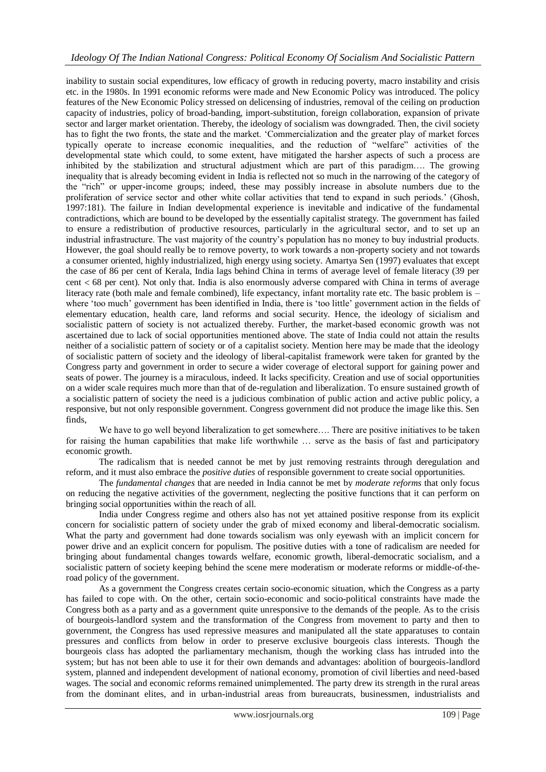inability to sustain social expenditures, low efficacy of growth in reducing poverty, macro instability and crisis etc. in the 1980s. In 1991 economic reforms were made and New Economic Policy was introduced. The policy features of the New Economic Policy stressed on delicensing of industries, removal of the ceiling on production capacity of industries, policy of broad-banding, import-substitution, foreign collaboration, expansion of private sector and larger market orientation. Thereby, the ideology of socialism was downgraded. Then, the civil society has to fight the two fronts, the state and the market. "Commercialization and the greater play of market forces typically operate to increase economic inequalities, and the reduction of "welfare" activities of the developmental state which could, to some extent, have mitigated the harsher aspects of such a process are inhibited by the stabilization and structural adjustment which are part of this paradigm…. The growing inequality that is already becoming evident in India is reflected not so much in the narrowing of the category of the "rich" or upper-income groups; indeed, these may possibly increase in absolute numbers due to the proliferation of service sector and other white collar activities that tend to expand in such periods." (Ghosh, 1997:181). The failure in Indian developmental experience is inevitable and indicative of the fundamental contradictions, which are bound to be developed by the essentially capitalist strategy. The government has failed to ensure a redistribution of productive resources, particularly in the agricultural sector, and to set up an industrial infrastructure. The vast majority of the country"s population has no money to buy industrial products. However, the goal should really be to remove poverty, to work towards a non-property society and not towards a consumer oriented, highly industrialized, high energy using society. Amartya Sen (1997) evaluates that except the case of 86 per cent of Kerala, India lags behind China in terms of average level of female literacy (39 per cent 68 per cent). Not only that. India is also enormously adverse compared with China in terms of average literacy rate (both male and female combined), life expectancy, infant mortality rate etc. The basic problem is – where 'too much' government has been identified in India, there is 'too little' government action in the fields of elementary education, health care, land reforms and social security. Hence, the ideology of sicialism and socialistic pattern of society is not actualized thereby. Further, the market-based economic growth was not ascertained due to lack of social opportunities mentioned above. The state of India could not attain the results neither of a socialistic pattern of society or of a capitalist society. Mention here may be made that the ideology of socialistic pattern of society and the ideology of liberal-capitalist framework were taken for granted by the Congress party and government in order to secure a wider coverage of electoral support for gaining power and seats of power. The journey is a miraculous, indeed. It lacks specificity. Creation and use of social opportunities on a wider scale requires much more than that of de-regulation and liberalization. To ensure sustained growth of a socialistic pattern of society the need is a judicious combination of public action and active public policy, a responsive, but not only responsible government. Congress government did not produce the image like this. Sen finds,

We have to go well beyond liberalization to get somewhere.... There are positive initiatives to be taken for raising the human capabilities that make life worthwhile … serve as the basis of fast and participatory economic growth.

The radicalism that is needed cannot be met by just removing restraints through deregulation and reform, and it must also embrace the *positive duties* of responsible government to create social opportunities.

The *fundamental changes* that are needed in India cannot be met by *moderate reforms* that only focus on reducing the negative activities of the government, neglecting the positive functions that it can perform on bringing social opportunities within the reach of all.

India under Congress regime and others also has not yet attained positive response from its explicit concern for socialistic pattern of society under the grab of mixed economy and liberal-democratic socialism. What the party and government had done towards socialism was only eyewash with an implicit concern for power drive and an explicit concern for populism. The positive duties with a tone of radicalism are needed for bringing about fundamental changes towards welfare, economic growth, liberal-democratic socialism, and a socialistic pattern of society keeping behind the scene mere moderatism or moderate reforms or middle-of-theroad policy of the government.

As a government the Congress creates certain socio-economic situation, which the Congress as a party has failed to cope with. On the other, certain socio-economic and socio-political constraints have made the Congress both as a party and as a government quite unresponsive to the demands of the people. As to the crisis of bourgeois-landlord system and the transformation of the Congress from movement to party and then to government, the Congress has used repressive measures and manipulated all the state apparatuses to contain pressures and conflicts from below in order to preserve exclusive bourgeois class interests. Though the bourgeois class has adopted the parliamentary mechanism, though the working class has intruded into the system; but has not been able to use it for their own demands and advantages: abolition of bourgeois-landlord system, planned and independent development of national economy, promotion of civil liberties and need-based wages. The social and economic reforms remained unimplemented. The party drew its strength in the rural areas from the dominant elites, and in urban-industrial areas from bureaucrats, businessmen, industrialists and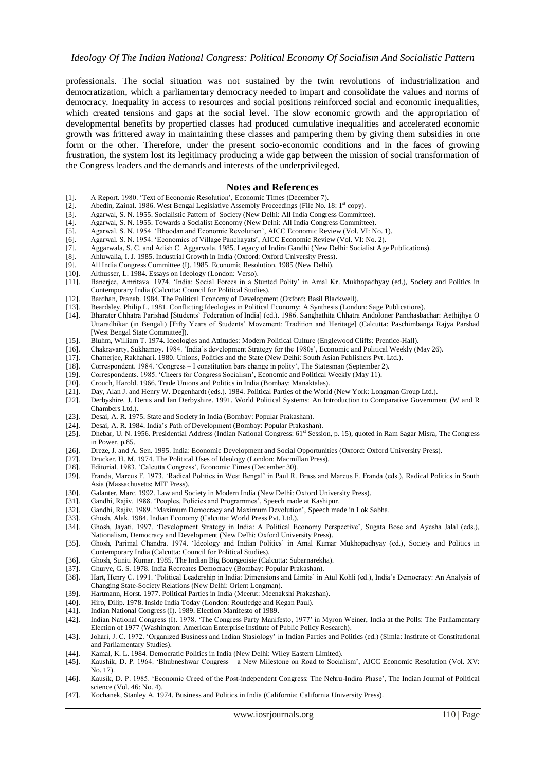professionals. The social situation was not sustained by the twin revolutions of industrialization and democratization, which a parliamentary democracy needed to impart and consolidate the values and norms of democracy. Inequality in access to resources and social positions reinforced social and economic inequalities, which created tensions and gaps at the social level. The slow economic growth and the appropriation of developmental benefits by propertied classes had produced cumulative inequalities and accelerated economic growth was frittered away in maintaining these classes and pampering them by giving them subsidies in one form or the other. Therefore, under the present socio-economic conditions and in the faces of growing frustration, the system lost its legitimacy producing a wide gap between the mission of social transformation of the Congress leaders and the demands and interests of the underprivileged.

## **Notes and References**

- [1]. A Report. 1980. "Text of Economic Resolution", Economic Times (December 7).
- Abedin, Zainal. 1986. West Bengal Legislative Assembly Proceedings (File No. 18: 1<sup>st</sup> copy).
- [3]. Agarwal, S. N. 1955. Socialistic Pattern of Society (New Delhi: All India Congress Committee).
- [4]. Agarwal, S. N. 1955. Towards a Socialist Economy (New Delhi: All India Congress Committee).
- [5]. Agarwal. S. N. 1954. "Bhoodan and Economic Revolution", AICC Economic Review (Vol. VI: No. 1).
- Agarwal. S. N. 1954. 'Economics of Village Panchayats', AICC Economic Review (Vol. VI: No. 2).
- [7]. Aggarwala, S. C. and Adish C. Aggarwala. 1985. Legacy of Indira Gandhi (New Delhi: Socialist Age Publications).
- [8]. Ahluwalia, I. J. 1985. Industrial Growth in India (Oxford: Oxford University Press).
- All India Congress Committee (I). 1985. Economic Resolution, 1985 (New Delhi).
- [10]. Althusser, L. 1984. Essays on Ideology (London: Verso).
- [11]. Banerjee, Amritava. 1974. "India: Social Forces in a Stunted Polity" in Amal Kr. Mukhopadhyay (ed.), Society and Politics in Contemporary India (Calcutta: Council for Political Studies).
- [12]. Bardhan, Pranab. 1984. The Political Economy of Development (Oxford: Basil Blackwell).
- [13]. Beardsley, Philip L. 1981. Conflicting Ideologies in Political Economy: A Synthesis (London: Sage Publications).
- [14]. Bharater Chhatra Parishad [Students" Federation of India] (ed.). 1986. Sanghathita Chhatra Andoloner Panchasbachar: Aethijhya O Uttaradhikar (in Bengali) [Fifty Years of Students" Movement: Tradition and Heritage] (Calcutta: Paschimbanga Rajya Parshad [West Bengal State Committee]).
- [15]. Bluhm, William T. 1974. Ideologies and Attitudes: Modern Political Culture (Englewood Cliffs: Prentice-Hall).
- [16]. Chakravarty, Sukhamoy. 1984. 'India's development Strategy for the 1980s', Economic and Political Weekly (May 26).<br>[17]. Chatteriee, Rakhahari. 1980. Unions, Politics and the State (New Delhi: South Asian Publishers
- [17]. Chatterjee, Rakhahari. 1980. Unions, Politics and the State (New Delhi: South Asian Publishers Pvt. Ltd.). [18]. Correspondent. 1984. 'Congress I constitution bars change in polity', The Statesman (September 2).
- [18]. Correspondent. 1984. "Congress I constitution bars change in polity", The Statesman (September 2).
- [19]. Correspondents. 1985. "Cheers for Congress Socialism", Economic and Political Weekly (May 11).
- [20]. Crouch, Harold. 1966. Trade Unions and Politics in India (Bombay: Manaktalas).
- [21]. Day, Alan J. and Henry W. Degenhardt (eds.). 1984. Political Parties of the World (New York: Longman Group Ltd.).
- [22]. Derbyshire, J. Denis and Ian Derbyshire. 1991. World Political Systems: An Introduction to Comparative Government (W and R Chambers Ltd.).
- [23]. Desai, A. R. 1975. State and Society in India (Bombay: Popular Prakashan).
- [24]. Desai, A. R. 1984. India"s Path of Development (Bombay: Popular Prakashan).
- [25]. Dhebar, U. N. 1956. Presidential Address (Indian National Congress: 61<sup>st</sup> Session, p. 15), quoted in Ram Sagar Misra, The Congress in Power, p.85.
- [26]. Dreze, J. and A. Sen. 1995. India: Economic Development and Social Opportunities (Oxford: Oxford University Press).
- [27]. Drucker, H. M. 1974. The Political Uses of Ideology (London: Macmillan Press).
- [28]. Editorial. 1983. 'Calcutta Congress', Economic Times (December 30).
- [29]. Franda, Marcus F. 1973. "Radical Politics in West Bengal" in Paul R. Brass and Marcus F. Franda (eds.), Radical Politics in South Asia (Massachusetts: MIT Press).
- [30]. Galanter, Marc. 1992. Law and Society in Modern India (New Delhi: Oxford University Press).
- [31]. Gandhi, Rajiv. 1988. 'Peoples, Policies and Programmes', Speech made at Kashipur.
- [32]. Gandhi, Rajiv. 1989. "Maximum Democracy and Maximum Devolution", Speech made in Lok Sabha.
- [33]. Ghosh, Alak. 1984. Indian Economy (Calcutta: World Press Pvt. Ltd.).
- [34]. Ghosh, Jayati. 1997. "Development Strategy in India: A Political Economy Perspective", Sugata Bose and Ayesha Jalal (eds.), Nationalism, Democracy and Development (New Delhi: Oxford University Press).
- [35]. Ghosh, Parimal Chandra. 1974. "Ideology and Indian Politics" in Amal Kumar Mukhopadhyay (ed.), Society and Politics in Contemporary India (Calcutta: Council for Political Studies).
- [36]. Ghosh, Suniti Kumar. 1985. The Indian Big Bourgeoisie (Calcutta: Subarnarekha).
- 
- [37]. Ghurye, G. S. 1978. India Recreates Democracy (Bombay: Popular Prakashan).<br>[38]. Hart, Henry C. 1991. 'Political Leadership in India: Dimensions and Limits' in Hart, Henry C. 1991. 'Political Leadership in India: Dimensions and Limits' in Atul Kohli (ed.), India's Democracy: An Analysis of Changing State-Society Relations (New Delhi: Orient Longman).
- [39]. Hartmann, Horst. 1977. Political Parties in India (Meerut: Meenakshi Prakashan).
- [40]. Hiro, Dilip. 1978. Inside India Today (London: Routledge and Kegan Paul).
- [41]. Indian National Congress (I). 1989. Election Manifesto of 1989.
- [42]. Indian National Congress (I). 1978. "The Congress Party Manifesto, 1977" in Myron Weiner, India at the Polls: The Parliamentary Election of 1977 (Washington: American Enterprise Institute of Public Policy Research).
- [43]. Johari, J. C. 1972. "Organized Business and Indian Stasiology" in Indian Parties and Politics (ed.) (Simla: Institute of Constitutional and Parliamentary Studies).
- [44]. Kamal, K. L. 1984. Democratic Politics in India (New Delhi: Wiley Eastern Limited).
- [45]. Kaushik, D. P. 1964. "Bhubneshwar Congress a New Milestone on Road to Socialism", AICC Economic Resolution (Vol. XV: No. 17).
- [46]. Kausik, D. P. 1985. 'Economic Creed of the Post-independent Congress: The Nehru-Indira Phase', The Indian Journal of Political science (Vol. 46: No. 4).
- [47]. Kochanek, Stanley A. 1974. Business and Politics in India (California: California University Press).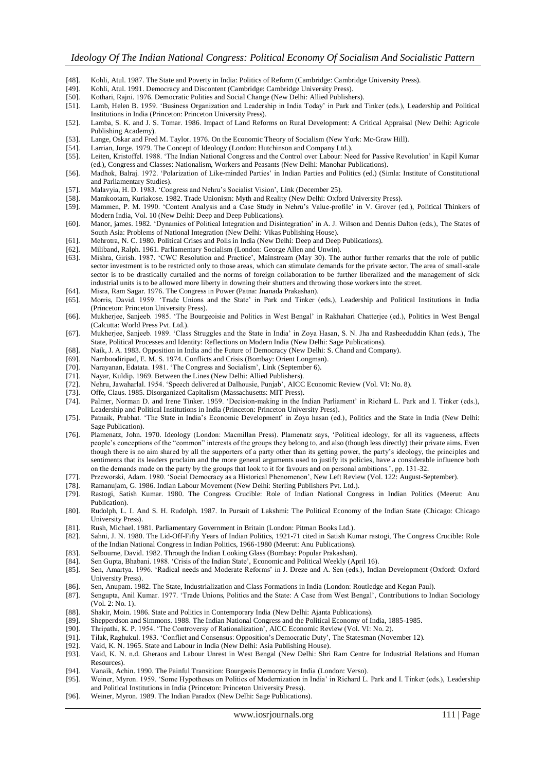- [48]. Kohli, Atul. 1987. The State and Poverty in India: Politics of Reform (Cambridge: Cambridge University Press).
- [49]. Kohli, Atul. 1991. Democracy and Discontent (Cambridge: Cambridge University Press).<br>[50]. Kothari, Rajni. 1976. Democratic Polities and Social Change (New Delhi: Allied Publishe
- [50]. Kothari, Rajni. 1976. Democratic Polities and Social Change (New Delhi: Allied Publishers).<br>[51]. Lamb, Helen B. 1959. 'Business Organization and Leadership in India Today' in Park and
- Lamb, Helen B. 1959. 'Business Organization and Leadership in India Today' in Park and Tinker (eds.), Leadership and Political Institutions in India (Princeton: Princeton University Press).
- [52]. Lamba, S. K. and J. S. Tomar. 1986. Impact of Land Reforms on Rural Development: A Critical Appraisal (New Delhi: Agricole Publishing Academy).
- [53]. Lange, Oskar and Fred M. Taylor. 1976. On the Economic Theory of Socialism (New York: Mc-Graw Hill).
- 
- [54]. Larrian, Jorge. 1979. The Concept of Ideology (London: Hutchinson and Company Ltd.).<br>[55]. Leiten, Kristoffel. 1988. 'The Indian National Congress and the Control over Labour: Ne Leiten, Kristoffel. 1988. 'The Indian National Congress and the Control over Labour: Need for Passive Revolution' in Kapil Kumar (ed.), Congress and Classes: Nationalism, Workers and Peasants (New Delhi: Manohar Publications).
- [56]. Madhok, Balraj. 1972. "Polarization of Like-minded Parties" in Indian Parties and Politics (ed.) (Simla: Institute of Constitutional and Parliamentary Studies).
- [57]. Malavyia, H. D. 1983. "Congress and Nehru"s Socialist Vision", Link (December 25).
- [58]. Mamkootam, Kuriakose. 1982. Trade Unionism: Myth and Reality (New Delhi: Oxford University Press).
- [59]. Mammen, P. M. 1990. "Content Analysis and a Case Study in Nehru"s Value-profile" in V. Grover (ed.), Political Thinkers of Modern India, Vol. 10 (New Delhi: Deep and Deep Publications).
- [60]. Manor, james. 1982. "Dynamics of Political Integration and Disintegration" in A. J. Wilson and Dennis Dalton (eds.), The States of South Asia: Problems of National Integration (New Delhi: Vikas Publishing House).
- [61]. Mehrotra, N. C. 1980. Political Crises and Polls in India (New Delhi: Deep and Deep Publications).
- [62]. Miliband, Ralph. 1961. Parliamentary Socialism (London: George Allen and Unwin).<br>[63]. Mishra, Girish. 1987. 'CWC Resolution and Practice', Mainstream (May 30). The
- [63]. Mishra, Girish. 1987. "CWC Resolution and Practice", Mainstream (May 30). The author further remarks that the role of public sector investment is to be restricted only to those areas, which can stimulate demands for the private sector. The area of small-scale sector is to be drastically curtailed and the norms of foreign collaboration to be further liberalized and the management of sick industrial units is to be allowed more liberty in downing their shutters and throwing those workers into the street.
- [64]. Misra, Ram Sagar. 1976. The Congress in Power (Patna: Jnanada Prakashan).
- [65]. Morris, David. 1959. "Trade Unions and the State" in Park and Tinker (eds.), Leadership and Political Institutions in India (Princeton: Princeton University Press). [66]. Mukherjee, Sanjeeb. 1985. "The Bourgeoisie and Politics in West Bengal" in Rakhahari Chatterjee (ed.), Politics in West Bengal
- (Calcutta: World Press Pvt. Ltd.).
- [67]. Mukherjee, Sanjeeb. 1989. "Class Struggles and the State in India" in Zoya Hasan, S. N. Jha and Rasheeduddin Khan (eds.), The State, Political Processes and Identity: Reflections on Modern India (New Delhi: Sage Publications).
- [68]. Naik, J. A. 1983. Opposition in India and the Future of Democracy (New Delhi: S. Chand and Company).
- [69]. Namboodiripad, E. M. S. 1974. Conflicts and Crisis (Bombay: Orient Longman).
- [70]. Narayanan, Edatata. 1981. 'The Congress and Socialism', Link (September 6).<br>[71]. Nayar, Kuldip. 1969. Between the Lines (New Delhi: Allied Publishers).
- Nayar, Kuldip. 1969. Between the Lines (New Delhi: Allied Publishers).
- [72]. Nehru, Jawaharlal. 1954. "Speech delivered at Dalhousie, Punjab", AICC Economic Review (Vol. VI: No. 8).
- [73]. Offe, Claus. 1985. Disorganized Capitalism (Massachusetts: MIT Press).
- [74]. Palmer, Norman D. and Irene Tinker. 1959. "Decision-making in the Indian Parliament" in Richard L. Park and I. Tinker (eds.), Leadership and Political Institutions in India (Princeton: Princeton University Press).
- [75]. Patnaik, Prabhat. "The State in India"s Economic Development" in Zoya hasan (ed.), Politics and the State in India (New Delhi: Sage Publication).
- [76]. Plamenatz, John. 1970. Ideology (London: Macmillan Press). Plamenatz says, "Political ideology, for all its vagueness, affects people"s conceptions of the "common" interests of the groups they belong to, and also (though less directly) their private aims. Even though there is no aim shared by all the supporters of a party other than its getting power, the party"s ideology, the principles and sentiments that its leaders proclaim and the more general arguments used to justify its policies, have a considerable influence both on the demands made on the party by the groups that look to it for favours and on personal ambitions.", pp. 131-32.
- [77]. Przeworski, Adam. 1980. "Social Democracy as a Historical Phenomenon", New Left Review (Vol. 122: August-September).
- [78]. Ramanujam, G. 1986. Indian Labour Movement (New Delhi: Sterling Publishers Pvt. Ltd.).
- [79]. Rastogi, Satish Kumar. 1980. The Congress Crucible: Role of Indian National Congress in Indian Politics (Meerut: Anu Publication).
- [80]. Rudolph, L. I. And S. H. Rudolph. 1987. In Pursuit of Lakshmi: The Political Economy of the Indian State (Chicago: Chicago University Press).
- 
- [81]. Rush, Michael. 1981. Parliamentary Government in Britain (London: Pitman Books Ltd.). [82]. Sahni, J. N. 1980. The Lid-Off-Fifty Years of Indian Politics, 1921-71 cited in Satish Kumar rastogi, The Congress Crucible: Role of the Indian National Congress in Indian Politics, 1966-1980 (Meerut: Anu Publications).
- [83]. Selbourne, David. 1982. Through the Indian Looking Glass (Bombay: Popular Prakashan).
- 
- [84]. Sen Gupta, Bhabani. 1988. 'Crisis of the Indian State', Economic and Political Weekly (April 16). [85]. Sen, Amartya. 1996. 'Radical needs and Moderate Reforms' in J. Dreze and A. Sen (eds.), India [85]. Sen, Amartya. 1996. "Radical needs and Moderate Reforms" in J. Dreze and A. Sen (eds.), Indian Development (Oxford: Oxford University Press).
- [86]. Sen, Anupam. 1982. The State, Industrialization and Class Formations in India (London: Routledge and Kegan Paul). [87]. Sengupta, Anil Kumar. 1977. 'Trade Unions, Politics and the State: A Case from West Bengal', Con
- [87]. Sengupta, Anil Kumar. 1977. "Trade Unions, Politics and the State: A Case from West Bengal", Contributions to Indian Sociology (Vol. 2: No. 1).
- [88]. Shakir, Moin. 1986. State and Politics in Contemporary India (New Delhi: Ajanta Publications).<br>[89]. Shepperdson and Simmons. 1988. The Indian National Congress and the Political Economy of Ip
- [89]. Shepperdson and Simmons. 1988. The Indian National Congress and the Political Economy of India, 1885-1985.<br>[90]. Thripathi, K. P. 1954. 'The Controversy of Rationalization', AICC Economic Review (Vol. VI: No. 2).
- [90]. Thripathi, K. P. 1954. "The Controversy of Rationalization", AICC Economic Review (Vol. VI: No. 2).
- [91]. Tilak, Raghukul. 1983. "Conflict and Consensus: Opposition"s Democratic Duty", The Statesman (November 12).
- [92]. Vaid, K. N. 1965. State and Labour in India (New Delhi: Asia Publishing House).
- [93]. Vaid, K. N. n.d. Gheraos and Labour Unrest in West Bengal (New Delhi: Shri Ram Centre for Industrial Relations and Human Resources).
- [94]. Vanaik, Achin. 1990. The Painful Transition: Bourgeois Democracy in India (London: Verso).
- [95]. Weiner, Myron. 1959. "Some Hypotheses on Politics of Modernization in India" in Richard L. Park and I. Tinker (eds.), Leadership and Political Institutions in India (Princeton: Princeton University Press).
- [96]. Weiner, Myron. 1989. The Indian Paradox (New Delhi: Sage Publications).